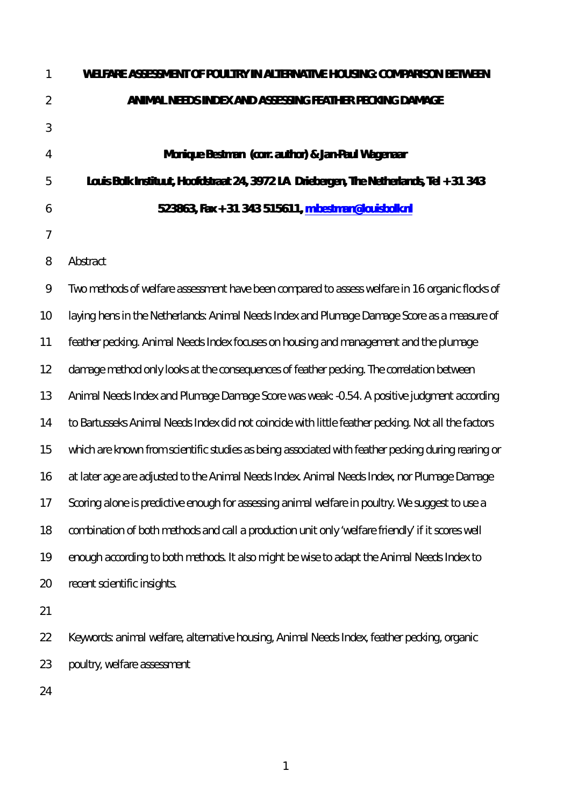| 1              | WELFARE ASSESSMENT OF POULTRY IN ALTERNATIVE HOUSING: COMPARISON BETWEEN                           |  |  |  |  |  |  |  |  |  |
|----------------|----------------------------------------------------------------------------------------------------|--|--|--|--|--|--|--|--|--|
| $\overline{2}$ | ANIMAL NEEDS INDEX AND ASSESSING FEATHER PECKING DAMAGE                                            |  |  |  |  |  |  |  |  |  |
| 3              |                                                                                                    |  |  |  |  |  |  |  |  |  |
| 4              | Monique Bestman (corr. author) & Jan-Paul Wagenaar                                                 |  |  |  |  |  |  |  |  |  |
| 5              | Louis Bolk Instituut, Hoofdstraat 24, 3972 LA Driebergen, The Netherlands, Tel + 31 343            |  |  |  |  |  |  |  |  |  |
| 6              | 523863, Fax + 31 343 515611, m.bestman@louisbolk.nl                                                |  |  |  |  |  |  |  |  |  |
| $\overline{7}$ |                                                                                                    |  |  |  |  |  |  |  |  |  |
| 8              | Abstract                                                                                           |  |  |  |  |  |  |  |  |  |
| $\mathcal{Q}$  | Two methods of welfare assessment have been compared to assess welfare in 16 organic flocks of     |  |  |  |  |  |  |  |  |  |
| 10             | laying hens in the Netherlands: Animal Needs Index and Plumage Damage Score as a measure of        |  |  |  |  |  |  |  |  |  |
| 11             | feather pecking. Animal Needs Index focuses on housing and management and the plumage              |  |  |  |  |  |  |  |  |  |
| 12             | damage method only looks at the consequences of feather pecking. The correlation between           |  |  |  |  |  |  |  |  |  |
| 13             | Animal Needs Index and Plumage Damage Score was weak: -0.54. A positive judgment according         |  |  |  |  |  |  |  |  |  |
| 14             | to Bartusseks Animal Needs Index did not coincide with little feather pecking. Not all the factors |  |  |  |  |  |  |  |  |  |
| 15             | which are known from scientific studies as being associated with feather pecking during rearing or |  |  |  |  |  |  |  |  |  |
| 16             | at later age are adjusted to the Animal Needs Index. Animal Needs Index, nor Plumage Damage        |  |  |  |  |  |  |  |  |  |
| 17             | Scoring alone is predictive enough for assessing animal welfare in poultry. We suggest to use a    |  |  |  |  |  |  |  |  |  |
| 18             | combination of both methods and call a production unit only 'welfare friendly' if it scores well   |  |  |  |  |  |  |  |  |  |
| 19             | enough according to both methods. It also might be wise to adapt the Animal Needs Index to         |  |  |  |  |  |  |  |  |  |
| 20             | recent scientific insights.                                                                        |  |  |  |  |  |  |  |  |  |
| 21             |                                                                                                    |  |  |  |  |  |  |  |  |  |
| 22             | Keywords: animal welfare, alternative housing, Animal Needs Index, feather pecking, organic        |  |  |  |  |  |  |  |  |  |
| 23             | poultry, welfare assessment                                                                        |  |  |  |  |  |  |  |  |  |
| 24             |                                                                                                    |  |  |  |  |  |  |  |  |  |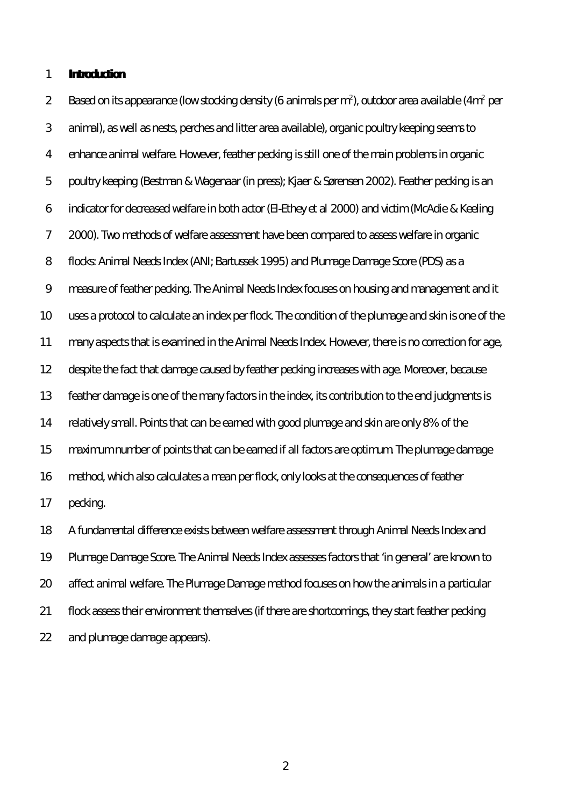#### **Introduction**

2 Based on its appearance (low stocking density (6 animals per m<sup>2</sup>), outdoor area available (4m<sup>2</sup> per animal), as well as nests, perches and litter area available), organic poultry keeping seems to enhance animal welfare. However, feather pecking is still one of the main problems in organic poultry keeping (Bestman & Wagenaar (in press); Kjaer & Sørensen 2002). Feather pecking is an indicator for decreased welfare in both actor (El-Ethey *et al* 2000) and victim (McAdie & Keeling 2000). Two methods of welfare assessment have been compared to assess welfare in organic flocks: Animal Needs Index (ANI; Bartussek 1995) and Plumage Damage Score (PDS) as a measure of feather pecking. The Animal Needs Index focuses on housing and management and it uses a protocol to calculate an index per flock. The condition of the plumage and skin is one of the many aspects that is examined in the Animal Needs Index. However, there is no correction for age, despite the fact that damage caused by feather pecking increases with age. Moreover, because feather damage is one of the many factors in the index, its contribution to the end judgments is relatively small. Points that can be earned with good plumage and skin are only 8% of the maximum number of points that can be earned if all factors are optimum. The plumage damage method, which also calculates a mean per flock, only looks at the consequences of feather pecking.

 A fundamental difference exists between welfare assessment through Animal Needs Index and Plumage Damage Score. The Animal Needs Index assesses factors that 'in general' are known to affect animal welfare. The Plumage Damage method focuses on how the animals in a particular flock assess their environment themselves (if there are shortcomings, they start feather pecking and plumage damage appears).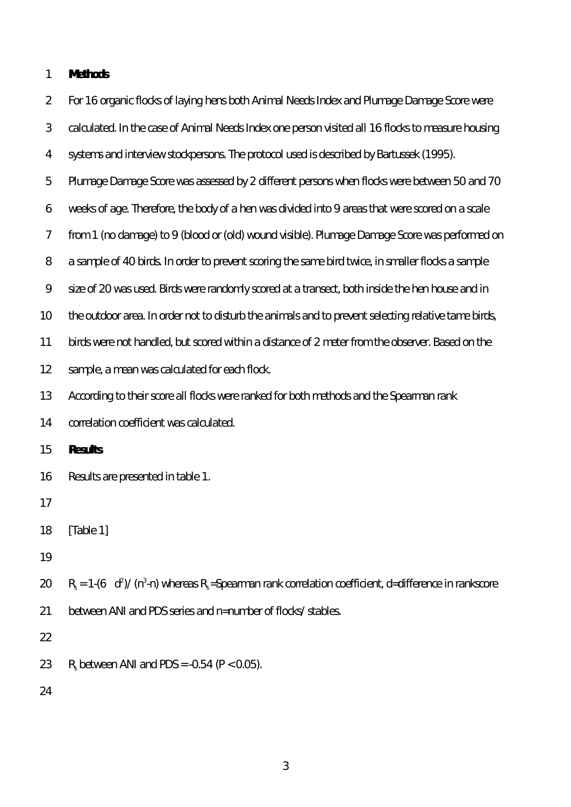## **Methods**

| $\overline{2}$ | For 16 organic flocks of laying hens both Animal Needs Index and Plumage Damage Score were                                  |  |  |  |  |  |  |  |
|----------------|-----------------------------------------------------------------------------------------------------------------------------|--|--|--|--|--|--|--|
| 3              | calculated. In the case of Animal Needs Index one person visited all 16 flocks to measure housing                           |  |  |  |  |  |  |  |
| 4              | systems and interview stockpersons. The protocol used is described by Bartussek (1995).                                     |  |  |  |  |  |  |  |
| 5              | Plumage Damage Score was assessed by 2 different persons when flocks were between 50 and 70                                 |  |  |  |  |  |  |  |
| 6              | weeks of age. Therefore, the body of a hen was divided into 9 areas that were scored on a scale                             |  |  |  |  |  |  |  |
| $\overline{7}$ | from 1 (no damage) to 9 (blood or (old) wound visible). Plumage Damage Score was performed on                               |  |  |  |  |  |  |  |
| $8\,$          | a sample of 40 birds. In order to prevent scoring the same bird twice, in smaller flocks a sample                           |  |  |  |  |  |  |  |
| $\mathcal{Q}$  | size of 20 was used. Birds were randomly scored at a transect, both inside the hen house and in                             |  |  |  |  |  |  |  |
| 10             | the outdoor area. In order not to disturb the animals and to prevent selecting relative tame birds,                         |  |  |  |  |  |  |  |
| 11             | birds were not handled, but scored within a distance of 2 meter from the observer. Based on the                             |  |  |  |  |  |  |  |
| 12             | sample, a mean was calculated for each flock.                                                                               |  |  |  |  |  |  |  |
| 13             | According to their score all flocks were ranked for both methods and the Spearman rank                                      |  |  |  |  |  |  |  |
| 14             | correlation coefficient was calculated.                                                                                     |  |  |  |  |  |  |  |
| 15             | <b>Results</b>                                                                                                              |  |  |  |  |  |  |  |
| 16             | Results are presented in table 1.                                                                                           |  |  |  |  |  |  |  |
| 17             |                                                                                                                             |  |  |  |  |  |  |  |
| 18             | [Table 1]                                                                                                                   |  |  |  |  |  |  |  |
| 19             |                                                                                                                             |  |  |  |  |  |  |  |
| 20             | $R_s = 1-(6 \text{ d}^2)/(n^3 \text{ -}n)$ whereas $R_s$ = Spearman rank correlation coefficient, d=difference in rankscore |  |  |  |  |  |  |  |
| 21             | between ANI and PDS series and n=number of flocks/stables.                                                                  |  |  |  |  |  |  |  |
| 22             |                                                                                                                             |  |  |  |  |  |  |  |
| 23             | $R_s$ between ANI and PDS = -0.54 ( $P < 0.05$ ).                                                                           |  |  |  |  |  |  |  |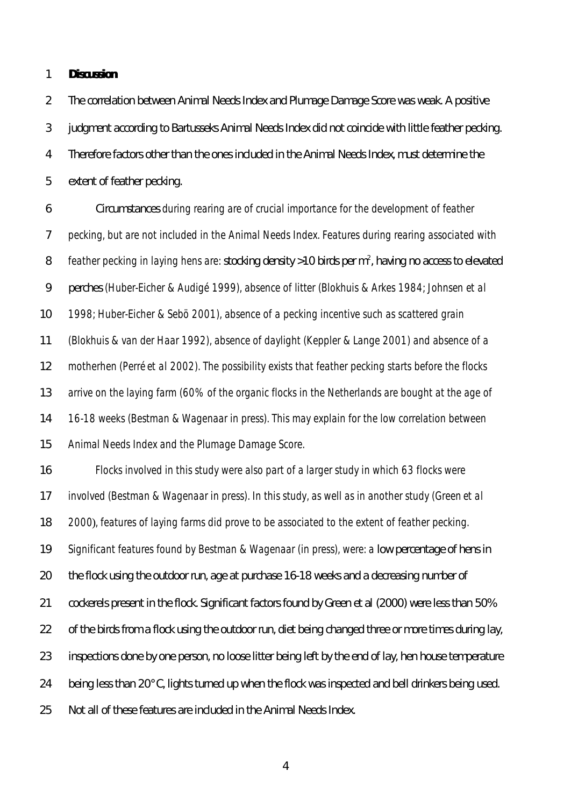#### **Discussion**

 The correlation between Animal Needs Index and Plumage Damage Score was weak. A positive judgment according to Bartusseks Animal Needs Index did not coincide with little feather pecking. Therefore factors other than the ones included in the Animal Needs Index, must determine the extent of feather pecking.

 Circumstances during rearing are of crucial importance for the development of feather 7 pecking, but are not included in the Animal Needs Index. Features during rearing associated with 8 feather pecking in laying hens are: stocking density >10 birds per m<sup>2</sup>, having no access to elevated perches (Huber-Eicher & Audigé 1999), absence of litter (Blokhuis & Arkes 1984; Johnsen *et al* 1998; Huber-Eicher & Sebö 2001), absence of a pecking incentive such as scattered grain (Blokhuis & van der Haar 1992), absence of daylight (Keppler & Lange 2001) and absence of a motherhen (Perré *et al* 2002). The possibility exists that feather pecking starts before the flocks 13 arrive on the laying farm (60% of the organic flocks in the Netherlands are bought at the age of 16-18 weeks (Bestman & Wagenaar in press). This may explain for the low correlation between Animal Needs Index and the Plumage Damage Score.

 Flocks involved in this study were also part of a larger study in which 63 flocks were involved (Bestman & Wagenaar in press). In this study, as well as in another study (Green *et al* 2000), features of laying farms did prove to be associated to the extent of feather pecking. Significant features found by Bestman & Wagenaar (in press), were: a low percentage of hens in the flock using the outdoor run, age at purchase 16-18 weeks and a decreasing number of cockerels present in the flock. Significant factors found by Green *et al* (2000) were less than 50% 22 of the birds from a flock using the outdoor run, diet being changed three or more times during lay, inspections done by one person, no loose litter being left by the end of lay, hen house temperature being less than 20°C, lights turned up when the flock was inspected and bell drinkers being used. Not all of these features are included in the Animal Needs Index.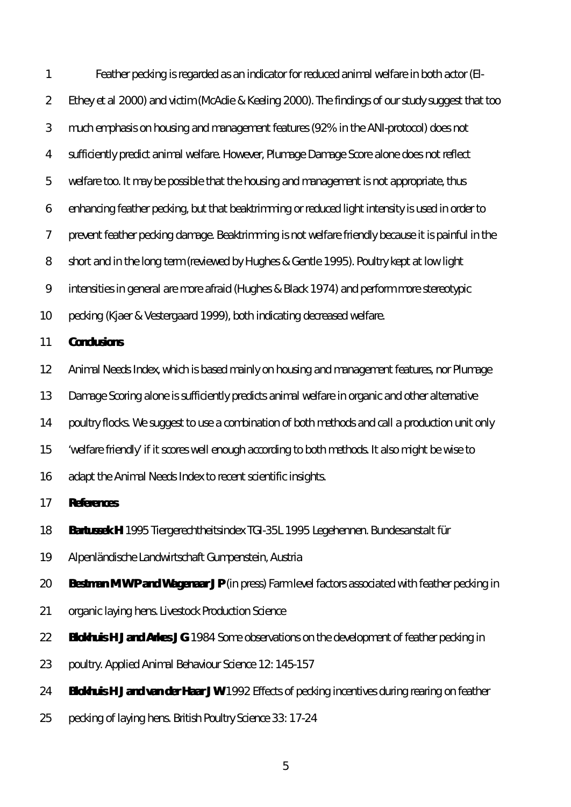Feather pecking is regarded as an indicator for reduced animal welfare in both actor (El- Ethey *et al* 2000) and victim (McAdie & Keeling 2000). The findings of our study suggest that too much emphasis on housing and management features (92% in the ANI-protocol) does not sufficiently predict animal welfare. However, Plumage Damage Score alone does not reflect welfare too. It may be possible that the housing and management is not appropriate, thus enhancing feather pecking, but that beaktrimming or reduced light intensity is used in order to prevent feather pecking damage. Beaktrimming is not welfare friendly because it is painful in the short and in the long term (reviewed by Hughes & Gentle 1995). Poultry kept at low light intensities in general are more afraid (Hughes & Black 1974) and perform more stereotypic pecking (Kjaer & Vestergaard 1999), both indicating decreased welfare.

### **Conclusions**

- Animal Needs Index, which is based mainly on housing and management features, nor Plumage
- Damage Scoring alone is sufficiently predicts animal welfare in organic and other alternative
- 14 poultry flocks. We suggest to use a combination of both methods and call a production unit only
- 'welfare friendly' if it scores well enough according to both methods. It also might be wise to
- adapt the Animal Needs Index to recent scientific insights.

**References**

- **Bartussek H** 1995 *Tiergerechtheitsindex TGI-35L 1995 Legehennen*. Bundesanstalt für
- Alpenländische Landwirtschaft Gumpenstein, Austria
- **Bestman M W P and Wagenaar J P** (in press) Farm level factors associated with feather pecking in
- organic laying hens. *Livestock Production Science*
- **Blokhuis H J and Arkes J G** 1984 Some observations on the development of feather pecking in
- poultry. *Applied Animal Behaviour Science 12*: 145-157
- **Blokhuis H J and van der Haar J W** 1992 Effects of pecking incentives during rearing on feather
- pecking of laying hens. *British Poultry Science 33*: 17-24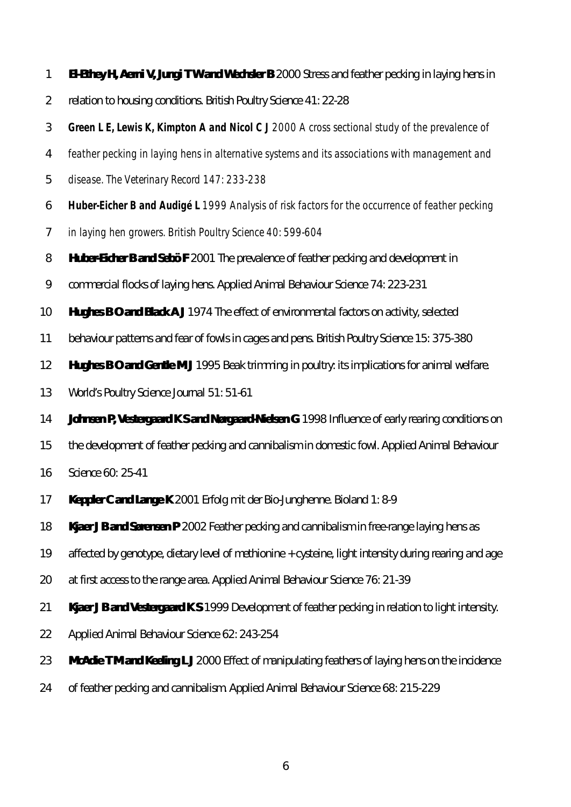- **El-Ethey H, Aerni V, Jungi T W and Wechsler B** 2000 Stress and feather pecking in laying hens in
- relation to housing conditions. *British Poultry Science 41*: 22-28
- **Green L E, Lewis K, Kimpton A and Nicol C J** 2000 A cross sectional study of the prevalence of
- feather pecking in laying hens in alternative systems and its associations with management and
- disease. *The Veterinary Record 147*: 233-238
- **Huber-Eicher B and Audigé L** 1999 Analysis of risk factors for the occurrence of feather pecking
- in laying hen growers. *British Poultry Science 40*: 599-604
- **Huber-Eicher B and Sebö F** 2001 The prevalence of feather pecking and development in
- commercial flocks of laying hens. *Applied Animal Behaviour Science 74*: 223-231
- **Hughes B O and Black A J** 1974 The effect of environmental factors on activity, selected
- behaviour patterns and fear of fowls in cages and pens. *British Poultry Science 15*: 375-380
- **Hughes B O and Gentle M J** 1995 Beak trimming in poultry: its implications for animal welfare*.*
- *World's Poultry Science Journal 51*: 51-61
- **Johnsen P, Vestergaard K S and Nørgaard-Nielsen G** 1998 Influence of early rearing conditions on
- the development of feather pecking and cannibalism in domestic fowl. *Applied Animal Behaviour*
- *Science 60*: 25-41
- **Keppler C and Lange K** 2001 Erfolg mit der Bio-Junghenne. *Bioland 1*: 8-9
- **Kjaer J B and Sørensen P** 2002 Feather pecking and cannibalism in free-range laying hens as
- affected by genotype, dietary level of methionine + cysteine, light intensity during rearing and age
- at first access to the range area. *Applied Animal Behaviour Science 76*: 21-39
- **Kjaer J B and Vestergaard K S** 1999 Development of feather pecking in relation to light intensity.
- *Applied Animal Behaviour Science 62*: 243-254
- **McAdie T M and Keeling L J** 2000 Effect of manipulating feathers of laying hens on the incidence
- of feather pecking and cannibalism. *Applied Animal Behaviour Science 68*: 215-229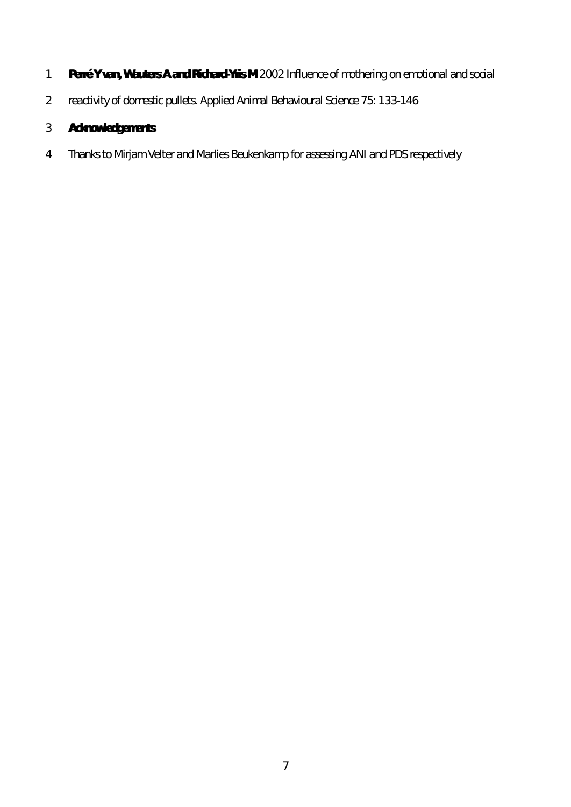- **Perré Y van, Wauters A and Richard-Yris M** 2002 Influence of mothering on emotional and social
- reactivity of domestic pullets*. Applied Animal Behavioural Science 75*: 133-146

# **Acknowledgements**

Thanks to Mirjam Velter and Marlies Beukenkamp for assessing ANI and PDS respectively